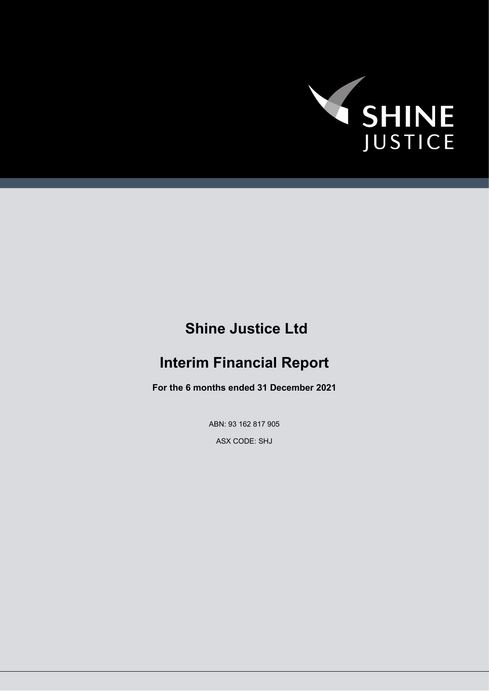

# **Shine Justice Ltd**

# **Interim Financial Report**

**For the 6 months ended 31 December 2021**

ABN: 93 162 817 905

ASX CODE: SHJ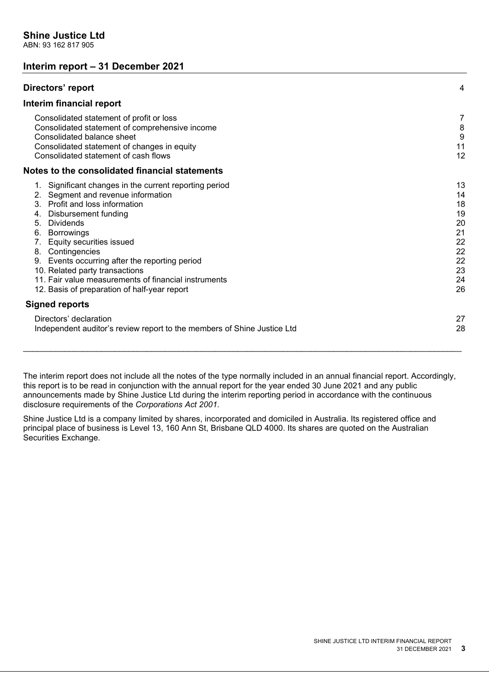# **Interim report – 31 December 2021**

| Directors' report                                                                                                                                                                                                                                                                                                                                                                                                                                               | 4                                                                    |
|-----------------------------------------------------------------------------------------------------------------------------------------------------------------------------------------------------------------------------------------------------------------------------------------------------------------------------------------------------------------------------------------------------------------------------------------------------------------|----------------------------------------------------------------------|
| Interim financial report                                                                                                                                                                                                                                                                                                                                                                                                                                        |                                                                      |
| Consolidated statement of profit or loss<br>Consolidated statement of comprehensive income<br>Consolidated balance sheet<br>Consolidated statement of changes in equity<br>Consolidated statement of cash flows                                                                                                                                                                                                                                                 | 7<br>8<br>9<br>11<br>12                                              |
| Notes to the consolidated financial statements                                                                                                                                                                                                                                                                                                                                                                                                                  |                                                                      |
| 1. Significant changes in the current reporting period<br>2. Segment and revenue information<br>3. Profit and loss information<br>Disbursement funding<br>4.<br>5.<br>Dividends<br>6.<br><b>Borrowings</b><br>Equity securities issued<br>7.<br>8. Contingencies<br>Events occurring after the reporting period<br>9.<br>10. Related party transactions<br>11. Fair value measurements of financial instruments<br>12. Basis of preparation of half-year report | 13<br>14<br>18<br>19<br>20<br>21<br>22<br>22<br>22<br>23<br>24<br>26 |
| <b>Signed reports</b>                                                                                                                                                                                                                                                                                                                                                                                                                                           |                                                                      |
| Directors' declaration<br>Independent auditor's review report to the members of Shine Justice Ltd                                                                                                                                                                                                                                                                                                                                                               | 27<br>28                                                             |

The interim report does not include all the notes of the type normally included in an annual financial report. Accordingly, this report is to be read in conjunction with the annual report for the year ended 30 June 2021 and any public announcements made by Shine Justice Ltd during the interim reporting period in accordance with the continuous disclosure requirements of the *Corporations Act 2001*.

Shine Justice Ltd is a company limited by shares, incorporated and domiciled in Australia. Its registered office and principal place of business is Level 13, 160 Ann St, Brisbane QLD 4000. Its shares are quoted on the Australian Securities Exchange.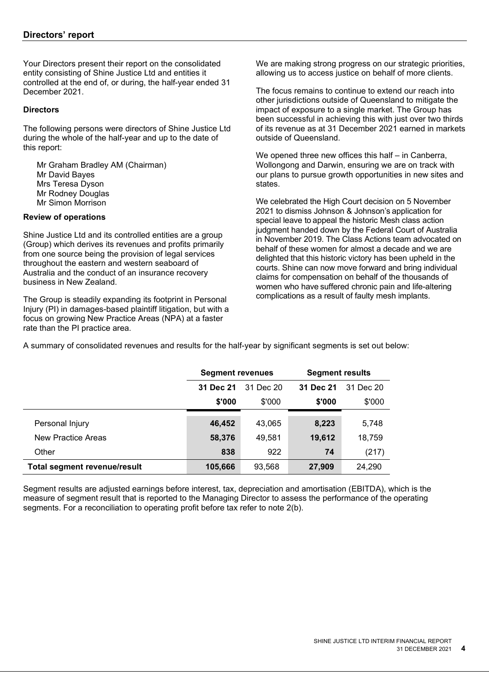Your Directors present their report on the consolidated entity consisting of Shine Justice Ltd and entities it controlled at the end of, or during, the half-year ended 31 December 2021.

#### **Directors**

The following persons were directors of Shine Justice Ltd during the whole of the half-year and up to the date of this report:

 Mr Graham Bradley AM (Chairman) Mr David Bayes Mrs Teresa Dyson Mr Rodney Douglas Mr Simon Morrison

#### **Review of operations**

Shine Justice Ltd and its controlled entities are a group (Group) which derives its revenues and profits primarily from one source being the provision of legal services throughout the eastern and western seaboard of Australia and the conduct of an insurance recovery business in New Zealand.

The Group is steadily expanding its footprint in Personal Injury (PI) in damages-based plaintiff litigation, but with a focus on growing New Practice Areas (NPA) at a faster rate than the PI practice area.

We are making strong progress on our strategic priorities, allowing us to access justice on behalf of more clients.

The focus remains to continue to extend our reach into other jurisdictions outside of Queensland to mitigate the impact of exposure to a single market. The Group has been successful in achieving this with just over two thirds of its revenue as at 31 December 2021 earned in markets outside of Queensland.

We opened three new offices this half – in Canberra, Wollongong and Darwin, ensuring we are on track with our plans to pursue growth opportunities in new sites and states.

We celebrated the High Court decision on 5 November 2021 to dismiss Johnson & Johnson's application for special leave to appeal the historic Mesh class action judgment handed down by the Federal Court of Australia in November 2019. The Class Actions team advocated on behalf of these women for almost a decade and we are delighted that this historic victory has been upheld in the courts. Shine can now move forward and bring individual claims for compensation on behalf of the thousands of women who have suffered chronic pain and life-altering complications as a result of faulty mesh implants.

A summary of consolidated revenues and results for the half-year by significant segments is set out below:

|                                     | <b>Segment revenues</b> |        | <b>Segment results</b> |        |           |  |
|-------------------------------------|-------------------------|--------|------------------------|--------|-----------|--|
|                                     | 31 Dec 20<br>31 Dec 21  |        | 31 Dec 21              |        | 31 Dec 20 |  |
|                                     | \$'000                  | \$'000 | \$'000                 | \$'000 |           |  |
|                                     |                         |        |                        |        |           |  |
| Personal Injury                     | 46,452                  | 43,065 | 8,223                  | 5,748  |           |  |
| New Practice Areas                  | 58,376                  | 49,581 | 19,612                 | 18,759 |           |  |
| Other                               | 838                     | 922    | 74                     | (217)  |           |  |
| <b>Total segment revenue/result</b> | 105,666                 | 93,568 | 27,909                 | 24,290 |           |  |

Segment results are adjusted earnings before interest, tax, depreciation and amortisation (EBITDA), which is the measure of segment result that is reported to the Managing Director to assess the performance of the operating segments. For a reconciliation to operating profit before tax refer to note 2(b).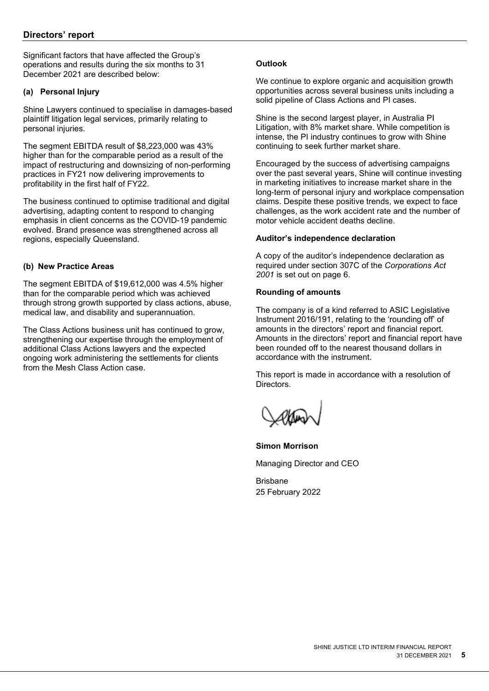Significant factors that have affected the Group's operations and results during the six months to 31 December 2021 are described below:

## **(a) Personal Injury**

Shine Lawyers continued to specialise in damages-based plaintiff litigation legal services, primarily relating to personal injuries.

The segment EBITDA result of \$8,223,000 was 43% higher than for the comparable period as a result of the impact of restructuring and downsizing of non-performing practices in FY21 now delivering improvements to profitability in the first half of FY22.

The business continued to optimise traditional and digital advertising, adapting content to respond to changing emphasis in client concerns as the COVID-19 pandemic evolved. Brand presence was strengthened across all regions, especially Queensland.

# **(b) New Practice Areas**

The segment EBITDA of \$19,612,000 was 4.5% higher than for the comparable period which was achieved through strong growth supported by class actions, abuse, medical law, and disability and superannuation.

The Class Actions business unit has continued to grow, strengthening our expertise through the employment of additional Class Actions lawyers and the expected ongoing work administering the settlements for clients from the Mesh Class Action case.

# **Outlook**

We continue to explore organic and acquisition growth opportunities across several business units including a solid pipeline of Class Actions and PI cases.

Shine is the second largest player, in Australia PI Litigation, with 8% market share. While competition is intense, the PI industry continues to grow with Shine continuing to seek further market share.

Encouraged by the success of advertising campaigns over the past several years, Shine will continue investing in marketing initiatives to increase market share in the long-term of personal injury and workplace compensation claims. Despite these positive trends, we expect to face challenges, as the work accident rate and the number of motor vehicle accident deaths decline.

#### **Auditor's independence declaration**

A copy of the auditor's independence declaration as required under section 307C of the *Corporations Act 2001* is set out on page 6.

#### **Rounding of amounts**

The company is of a kind referred to ASIC Legislative Instrument 2016/191, relating to the 'rounding off' of amounts in the directors' report and financial report. Amounts in the directors' report and financial report have been rounded off to the nearest thousand dollars in accordance with the instrument.

This report is made in accordance with a resolution of Directors.

**Simon Morrison** Managing Director and CEO

Brisbane 25 February 2022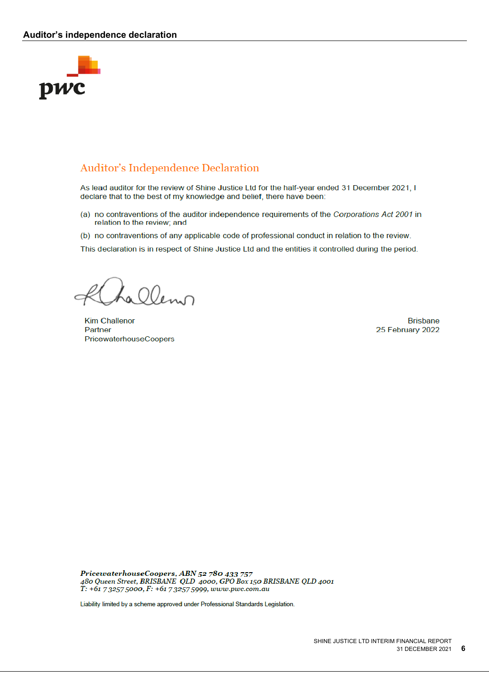#### **Auditor's independence declaration**



# **Auditor's Independence Declaration**

As lead auditor for the review of Shine Justice Ltd for the half-year ended 31 December 2021. I declare that to the best of my knowledge and belief, there have been:

- (a) no contraventions of the auditor independence requirements of the Corporations Act 2001 in relation to the review; and
- (b) no contraventions of any applicable code of professional conduct in relation to the review.

This declaration is in respect of Shine Justice Ltd and the entities it controlled during the period.

Lalleno

**Kim Challenor** Partner PricewaterhouseCoopers

**Brisbane** 25 February 2022

PricewaterhouseCoopers, ABN 52 780 433 757 480 Queen Street, BRISBANE QLD 4000, GPO Box 150 BRISBANE QLD 4001<br>T: +61 7 3257 5000, F: +61 7 3257 5999, www.pwc.com.au

Liability limited by a scheme approved under Professional Standards Legislation.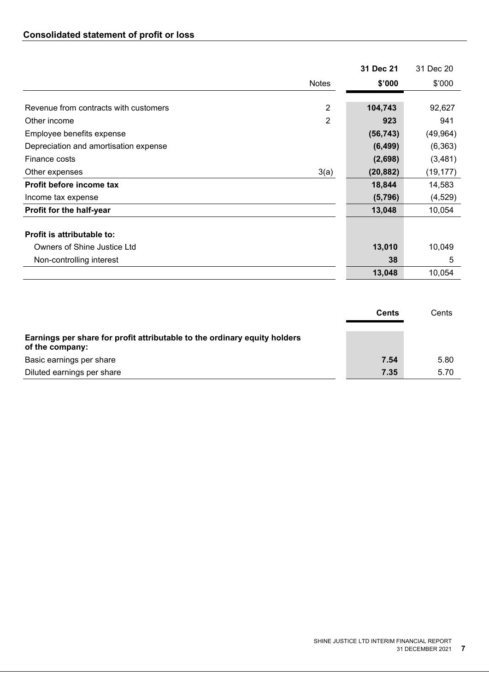|                                       |                | 31 Dec 21 | 31 Dec 20 |
|---------------------------------------|----------------|-----------|-----------|
|                                       | <b>Notes</b>   | \$'000    | \$'000    |
|                                       |                |           |           |
| Revenue from contracts with customers | 2              | 104,743   | 92,627    |
| Other income                          | $\overline{2}$ | 923       | 941       |
| Employee benefits expense             |                | (56, 743) | (49, 964) |
| Depreciation and amortisation expense |                | (6, 499)  | (6, 363)  |
| Finance costs                         |                | (2,698)   | (3, 481)  |
| Other expenses                        | 3(a)           | (20, 882) | (19, 177) |
| Profit before income tax              |                | 18,844    | 14,583    |
| Income tax expense                    |                | (5,796)   | (4,529)   |
| Profit for the half-year              |                | 13,048    | 10,054    |
| Profit is attributable to:            |                |           |           |
| Owners of Shine Justice Ltd           |                | 13,010    | 10,049    |
| Non-controlling interest              |                | 38        | 5         |
|                                       |                | 13,048    | 10,054    |

|                                                                                              | Cents | Cents |
|----------------------------------------------------------------------------------------------|-------|-------|
| Earnings per share for profit attributable to the ordinary equity holders<br>of the company: |       |       |
| Basic earnings per share                                                                     | 7.54  | 5.80  |
| Diluted earnings per share                                                                   | 7.35  | 5.70  |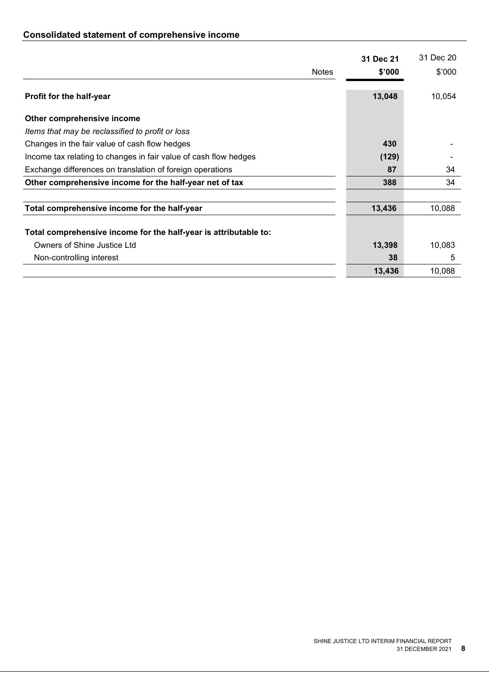# **Consolidated statement of comprehensive income**

|                                                                  | 31 Dec 21 | 31 Dec 20 |
|------------------------------------------------------------------|-----------|-----------|
| <b>Notes</b>                                                     | \$'000    | \$'000    |
| Profit for the half-year                                         | 13,048    | 10,054    |
| Other comprehensive income                                       |           |           |
| Items that may be reclassified to profit or loss                 |           |           |
| Changes in the fair value of cash flow hedges                    | 430       |           |
| Income tax relating to changes in fair value of cash flow hedges | (129)     |           |
| Exchange differences on translation of foreign operations        | 87        | 34        |
| Other comprehensive income for the half-year net of tax          | 388       | 34        |
| Total comprehensive income for the half-year                     | 13,436    | 10,088    |
| Total comprehensive income for the half-year is attributable to: |           |           |
| Owners of Shine Justice Ltd                                      | 13,398    | 10,083    |
| Non-controlling interest                                         | 38        | 5         |
|                                                                  | 13,436    | 10,088    |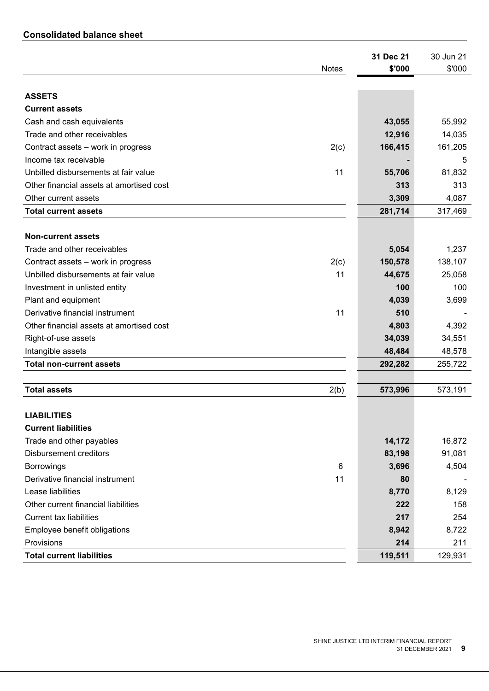# **Consolidated balance sheet**

| <b>Notes</b>                             |      | 31 Dec 21<br>\$'000 | 30 Jun 21<br>\$'000 |
|------------------------------------------|------|---------------------|---------------------|
|                                          |      |                     |                     |
| <b>ASSETS</b>                            |      |                     |                     |
| <b>Current assets</b>                    |      |                     |                     |
| Cash and cash equivalents                |      | 43,055              | 55,992              |
| Trade and other receivables              |      | 12,916              | 14,035              |
| Contract assets - work in progress       | 2(c) | 166,415             | 161,205             |
| Income tax receivable                    |      |                     | 5                   |
| Unbilled disbursements at fair value     | 11   | 55,706              | 81,832              |
| Other financial assets at amortised cost |      | 313                 | 313                 |
| Other current assets                     |      | 3,309               | 4,087               |
| <b>Total current assets</b>              |      | 281,714             | 317,469             |
|                                          |      |                     |                     |
| <b>Non-current assets</b>                |      |                     |                     |
| Trade and other receivables              |      | 5,054               | 1,237               |
| Contract assets - work in progress       | 2(c) | 150,578             | 138,107             |
| Unbilled disbursements at fair value     | 11   | 44,675              | 25,058              |
| Investment in unlisted entity            |      | 100                 | 100                 |
| Plant and equipment                      |      | 4,039               | 3,699               |
| Derivative financial instrument          | 11   | 510                 |                     |
| Other financial assets at amortised cost |      | 4,803               | 4,392               |
| Right-of-use assets                      |      | 34,039              | 34,551              |
| Intangible assets                        |      | 48,484              | 48,578              |
| <b>Total non-current assets</b>          |      | 292,282             | 255,722             |
|                                          |      |                     |                     |
| <b>Total assets</b>                      | 2(b) | 573,996             | 573,191             |
|                                          |      |                     |                     |
| <b>LIABILITIES</b>                       |      |                     |                     |
| <b>Current liabilities</b>               |      |                     |                     |
| Trade and other payables                 |      | 14,172              | 16,872              |
| <b>Disbursement creditors</b>            |      | 83,198              | 91,081              |
| <b>Borrowings</b>                        | 6    | 3,696               | 4,504               |
| Derivative financial instrument          | 11   | 80                  |                     |
| Lease liabilities                        |      | 8,770               | 8,129               |
| Other current financial liabilities      |      | 222                 | 158                 |
| <b>Current tax liabilities</b>           |      | 217                 | 254                 |
| Employee benefit obligations             |      | 8,942               | 8,722               |
| Provisions                               |      | 214                 | 211                 |
| <b>Total current liabilities</b>         |      | 119,511             | 129,931             |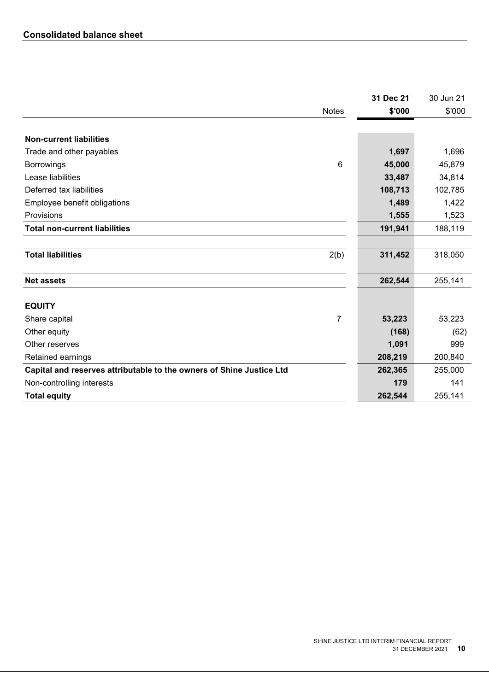|                                                                      | 31 Dec 21 | 30 Jun 21 |
|----------------------------------------------------------------------|-----------|-----------|
| <b>Notes</b>                                                         | \$'000    | \$'000    |
|                                                                      |           |           |
| <b>Non-current liabilities</b>                                       |           |           |
| Trade and other payables                                             | 1,697     | 1,696     |
| 6<br><b>Borrowings</b>                                               | 45,000    | 45,879    |
| Lease liabilities                                                    | 33,487    | 34,814    |
| Deferred tax liabilities                                             | 108,713   | 102,785   |
| Employee benefit obligations                                         | 1,489     | 1,422     |
| Provisions                                                           | 1,555     | 1,523     |
| <b>Total non-current liabilities</b>                                 | 191,941   | 188,119   |
|                                                                      |           |           |
| <b>Total liabilities</b><br>2(b)                                     | 311,452   | 318,050   |
|                                                                      |           |           |
| <b>Net assets</b>                                                    | 262,544   | 255,141   |
| <b>EQUITY</b>                                                        |           |           |
| 7<br>Share capital                                                   | 53,223    | 53,223    |
| Other equity                                                         | (168)     | (62)      |
| Other reserves                                                       | 1,091     | 999       |
| Retained earnings                                                    | 208,219   | 200,840   |
| Capital and reserves attributable to the owners of Shine Justice Ltd | 262,365   | 255,000   |
| Non-controlling interests                                            | 179       | 141       |
| <b>Total equity</b>                                                  | 262,544   | 255,141   |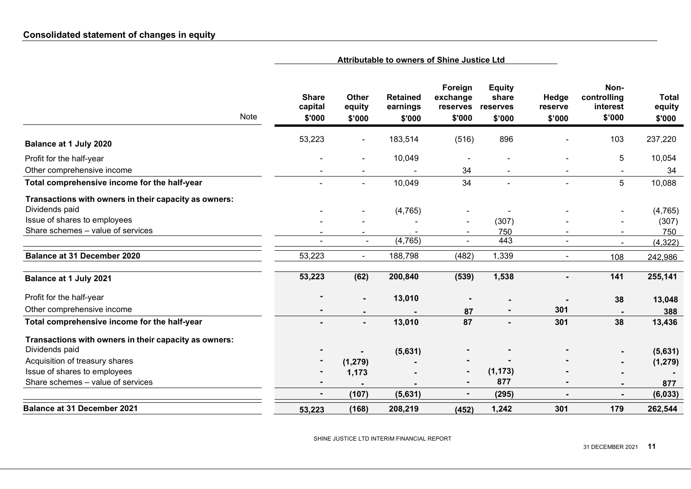|                                                       | Attributable to owners of Shine Justice Ltd |                                  |                                       |                                           |                                              |                            |                                           |                                  |
|-------------------------------------------------------|---------------------------------------------|----------------------------------|---------------------------------------|-------------------------------------------|----------------------------------------------|----------------------------|-------------------------------------------|----------------------------------|
| Note                                                  | <b>Share</b><br>capital<br>\$'000           | <b>Other</b><br>equity<br>\$'000 | <b>Retained</b><br>earnings<br>\$'000 | Foreign<br>exchange<br>reserves<br>\$'000 | <b>Equity</b><br>share<br>reserves<br>\$'000 | Hedge<br>reserve<br>\$'000 | Non-<br>controlling<br>interest<br>\$'000 | <b>Total</b><br>equity<br>\$'000 |
| Balance at 1 July 2020                                | 53,223                                      | $\blacksquare$                   | 183,514                               | (516)                                     | 896                                          |                            | 103                                       | 237,220                          |
| Profit for the half-year                              |                                             | $\blacksquare$                   | 10,049                                |                                           |                                              |                            | $\overline{5}$                            | 10,054                           |
| Other comprehensive income                            |                                             |                                  |                                       | 34                                        |                                              |                            |                                           | 34                               |
| Total comprehensive income for the half-year          |                                             | $\blacksquare$                   | 10,049                                | 34                                        | $\blacksquare$                               |                            | 5                                         | 10,088                           |
| Transactions with owners in their capacity as owners: |                                             |                                  |                                       |                                           |                                              |                            |                                           |                                  |
| Dividends paid                                        |                                             |                                  | (4, 765)                              |                                           |                                              |                            |                                           | (4, 765)                         |
| Issue of shares to employees                          |                                             |                                  |                                       | $\blacksquare$                            | (307)                                        |                            |                                           | (307)                            |
| Share schemes - value of services                     |                                             | $\blacksquare$                   |                                       | $\blacksquare$                            | 750                                          |                            | $\overline{\phantom{a}}$                  | 750                              |
|                                                       |                                             | $\sim$                           | (4, 765)                              | $\sim$                                    | 443                                          | $\blacksquare$             |                                           | (4, 322)                         |
| <b>Balance at 31 December 2020</b>                    | 53,223                                      | $\blacksquare$                   | 188,798                               | (482)                                     | 1,339                                        | $\overline{\phantom{a}}$   | 108                                       | 242,986                          |
| Balance at 1 July 2021                                | 53,223                                      | (62)                             | 200,840                               | (539)                                     | 1,538                                        |                            | 141                                       | 255,141                          |
| Profit for the half-year                              |                                             | $\blacksquare$                   | 13,010                                |                                           |                                              |                            | 38                                        | 13,048                           |
| Other comprehensive income                            |                                             |                                  |                                       | 87                                        |                                              | 301                        |                                           | 388                              |
| Total comprehensive income for the half-year          |                                             | $\blacksquare$                   | 13,010                                | 87                                        |                                              | 301                        | 38                                        | 13,436                           |
| Transactions with owners in their capacity as owners: |                                             |                                  |                                       |                                           |                                              |                            |                                           |                                  |
| Dividends paid                                        |                                             |                                  | (5,631)                               |                                           |                                              |                            |                                           | (5,631)                          |
| Acquisition of treasury shares                        |                                             | (1, 279)                         |                                       |                                           |                                              |                            |                                           | (1, 279)                         |
| Issue of shares to employees                          |                                             | 1,173                            |                                       |                                           | (1, 173)                                     |                            |                                           |                                  |
| Share schemes - value of services                     |                                             |                                  |                                       | $\blacksquare$                            | 877                                          |                            |                                           | 877                              |
|                                                       |                                             | (107)                            | (5,631)                               | $\blacksquare$                            | (295)                                        | $\blacksquare$             | $\blacksquare$                            | (6, 033)                         |
| <b>Balance at 31 December 2021</b>                    | 53,223                                      | (168)                            | 208,219                               | (452)                                     | 1,242                                        | 301                        | 179                                       | 262,544                          |

SHINE JUSTICE LTD INTERIM FINANCIAL REPORT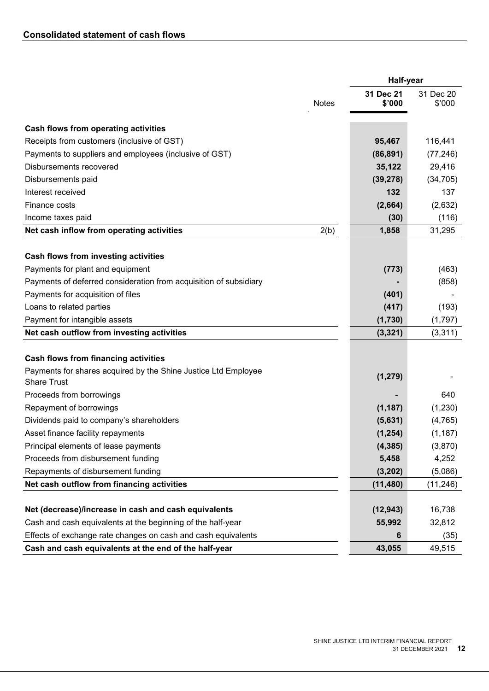|                                                                                      | <b>Half-year</b>    |                     |  |
|--------------------------------------------------------------------------------------|---------------------|---------------------|--|
| <b>Notes</b>                                                                         | 31 Dec 21<br>\$'000 | 31 Dec 20<br>\$'000 |  |
| Cash flows from operating activities                                                 |                     |                     |  |
| Receipts from customers (inclusive of GST)                                           | 95,467              | 116,441             |  |
| Payments to suppliers and employees (inclusive of GST)                               | (86, 891)           | (77, 246)           |  |
| Disbursements recovered                                                              | 35,122              | 29,416              |  |
| Disbursements paid                                                                   | (39, 278)           | (34, 705)           |  |
| Interest received                                                                    | 132                 | 137                 |  |
| Finance costs                                                                        | (2,664)             | (2,632)             |  |
| Income taxes paid                                                                    | (30)                | (116)               |  |
| Net cash inflow from operating activities<br>2(b)                                    | 1,858               | 31,295              |  |
|                                                                                      |                     |                     |  |
| Cash flows from investing activities                                                 |                     |                     |  |
| Payments for plant and equipment                                                     | (773)               | (463)               |  |
| Payments of deferred consideration from acquisition of subsidiary                    |                     | (858)               |  |
| Payments for acquisition of files                                                    | (401)               |                     |  |
| Loans to related parties                                                             | (417)               | (193)               |  |
| Payment for intangible assets                                                        | (1,730)             | (1,797)             |  |
| Net cash outflow from investing activities                                           | (3, 321)            | (3,311)             |  |
|                                                                                      |                     |                     |  |
| <b>Cash flows from financing activities</b>                                          |                     |                     |  |
| Payments for shares acquired by the Shine Justice Ltd Employee<br><b>Share Trust</b> | (1, 279)            |                     |  |
| Proceeds from borrowings                                                             |                     | 640                 |  |
| Repayment of borrowings                                                              | (1, 187)            | (1,230)             |  |
| Dividends paid to company's shareholders                                             | (5,631)             | (4, 765)            |  |
| Asset finance facility repayments                                                    | (1, 254)            | (1, 187)            |  |
| Principal elements of lease payments                                                 | (4, 385)            | (3,870)             |  |
| Proceeds from disbursement funding                                                   | 5,458               | 4,252               |  |
| Repayments of disbursement funding                                                   | (3, 202)            | (5,086)             |  |
| Net cash outflow from financing activities                                           | (11, 480)           | (11, 246)           |  |
|                                                                                      |                     |                     |  |
| Net (decrease)/increase in cash and cash equivalents                                 | (12, 943)           | 16,738              |  |
| Cash and cash equivalents at the beginning of the half-year                          | 55,992              | 32,812              |  |
| Effects of exchange rate changes on cash and cash equivalents                        | 6                   | (35)                |  |
| Cash and cash equivalents at the end of the half-year                                | 43,055              | 49,515              |  |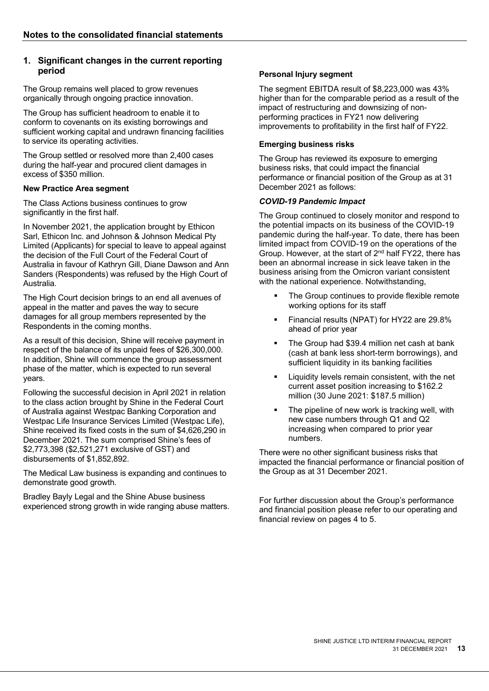# **1. Significant changes in the current reporting period**

The Group remains well placed to grow revenues organically through ongoing practice innovation.

The Group has sufficient headroom to enable it to conform to covenants on its existing borrowings and sufficient working capital and undrawn financing facilities to service its operating activities.

The Group settled or resolved more than 2,400 cases during the half-year and procured client damages in excess of \$350 million.

#### **New Practice Area segment**

The Class Actions business continues to grow significantly in the first half.

In November 2021, the application brought by Ethicon Sarl, Ethicon Inc. and Johnson & Johnson Medical Pty Limited (Applicants) for special to leave to appeal against the decision of the Full Court of the Federal Court of Australia in favour of Kathryn Gill, Diane Dawson and Ann Sanders (Respondents) was refused by the High Court of Australia.

The High Court decision brings to an end all avenues of appeal in the matter and paves the way to secure damages for all group members represented by the Respondents in the coming months.

As a result of this decision, Shine will receive payment in respect of the balance of its unpaid fees of \$26,300,000. In addition, Shine will commence the group assessment phase of the matter, which is expected to run several years.

Following the successful decision in April 2021 in relation to the class action brought by Shine in the Federal Court of Australia against Westpac Banking Corporation and Westpac Life Insurance Services Limited (Westpac Life), Shine received its fixed costs in the sum of \$4,626,290 in December 2021. The sum comprised Shine's fees of \$2,773,398 (\$2,521,271 exclusive of GST) and disbursements of \$1,852,892.

The Medical Law business is expanding and continues to demonstrate good growth.

Bradley Bayly Legal and the Shine Abuse business experienced strong growth in wide ranging abuse matters.

# **Personal Injury segment**

The segment EBITDA result of \$8,223,000 was 43% higher than for the comparable period as a result of the impact of restructuring and downsizing of nonperforming practices in FY21 now delivering improvements to profitability in the first half of FY22.

#### **Emerging business risks**

The Group has reviewed its exposure to emerging business risks, that could impact the financial performance or financial position of the Group as at 31 December 2021 as follows:

#### *COVID-19 Pandemic Impact*

The Group continued to closely monitor and respond to the potential impacts on its business of the COVID-19 pandemic during the half-year. To date, there has been limited impact from COVID-19 on the operations of the Group. However, at the start of 2nd half FY22, there has been an abnormal increase in sick leave taken in the business arising from the Omicron variant consistent with the national experience. Notwithstanding,

- The Group continues to provide flexible remote working options for its staff
- Financial results (NPAT) for HY22 are 29.8% ahead of prior year
- The Group had \$39.4 million net cash at bank (cash at bank less short-term borrowings), and sufficient liquidity in its banking facilities
- Liquidity levels remain consistent, with the net current asset position increasing to \$162.2 million (30 June 2021: \$187.5 million)
- The pipeline of new work is tracking well, with new case numbers through Q1 and Q2 increasing when compared to prior year numbers.

There were no other significant business risks that impacted the financial performance or financial position of the Group as at 31 December 2021.

For further discussion about the Group's performance and financial position please refer to our operating and financial review on pages 4 to 5.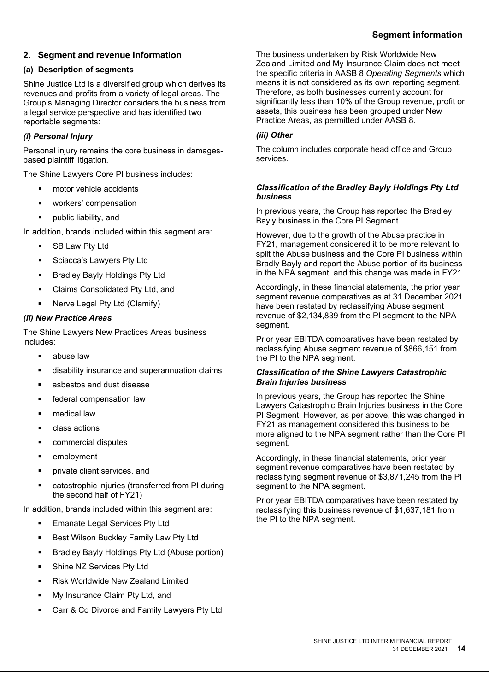# **2. Segment and revenue information**

## **(a) Description of segments**

Shine Justice Ltd is a diversified group which derives its revenues and profits from a variety of legal areas. The Group's Managing Director considers the business from a legal service perspective and has identified two reportable segments:

# *(i) Personal Injury*

Personal injury remains the core business in damagesbased plaintiff litigation.

The Shine Lawyers Core PI business includes:

- motor vehicle accidents
- workers' compensation
- public liability, and

In addition, brands included within this segment are:

- SB Law Pty Ltd
- Sciacca's Lawyers Pty Ltd
- **Bradley Bayly Holdings Pty Ltd**
- **EXECUTE:** Claims Consolidated Pty Ltd, and
- Nerve Legal Pty Ltd (Clamify)

## *(ii) New Practice Areas*

The Shine Lawyers New Practices Areas business includes:

- **abuse law**
- disability insurance and superannuation claims
- asbestos and dust disease
- **federal compensation law**
- **n**edical law
- **class actions**
- commercial disputes
- employment
- private client services, and
- catastrophic injuries (transferred from PI during the second half of FY21)

In addition, brands included within this segment are:

- **Emanate Legal Services Pty Ltd**
- **Best Wilson Buckley Family Law Pty Ltd**
- **Bradley Bayly Holdings Pty Ltd (Abuse portion)**
- Shine NZ Services Pty Ltd
- Risk Worldwide New Zealand Limited
- My Insurance Claim Pty Ltd, and
- Carr & Co Divorce and Family Lawyers Pty Ltd

The business undertaken by Risk Worldwide New Zealand Limited and My Insurance Claim does not meet the specific criteria in AASB 8 *Operating Segments* which means it is not considered as its own reporting segment. Therefore, as both businesses currently account for significantly less than 10% of the Group revenue, profit or assets, this business has been grouped under New Practice Areas, as permitted under AASB 8.

#### *(iii) Other*

The column includes corporate head office and Group services.

#### *Classification of the Bradley Bayly Holdings Pty Ltd business*

In previous years, the Group has reported the Bradley Bayly business in the Core PI Segment.

However, due to the growth of the Abuse practice in FY21, management considered it to be more relevant to split the Abuse business and the Core PI business within Bradly Bayly and report the Abuse portion of its business in the NPA segment, and this change was made in FY21.

Accordingly, in these financial statements, the prior year segment revenue comparatives as at 31 December 2021 have been restated by reclassifying Abuse segment revenue of \$2,134,839 from the PI segment to the NPA segment.

Prior year EBITDA comparatives have been restated by reclassifying Abuse segment revenue of \$866,151 from the PI to the NPA segment.

#### *Classification of the Shine Lawyers Catastrophic Brain Injuries business*

In previous years, the Group has reported the Shine Lawyers Catastrophic Brain Injuries business in the Core PI Segment. However, as per above, this was changed in FY21 as management considered this business to be more aligned to the NPA segment rather than the Core PI segment.

Accordingly, in these financial statements, prior year segment revenue comparatives have been restated by reclassifying segment revenue of \$3,871,245 from the PI segment to the NPA segment.

Prior year EBITDA comparatives have been restated by reclassifying this business revenue of \$1,637,181 from the PI to the NPA segment.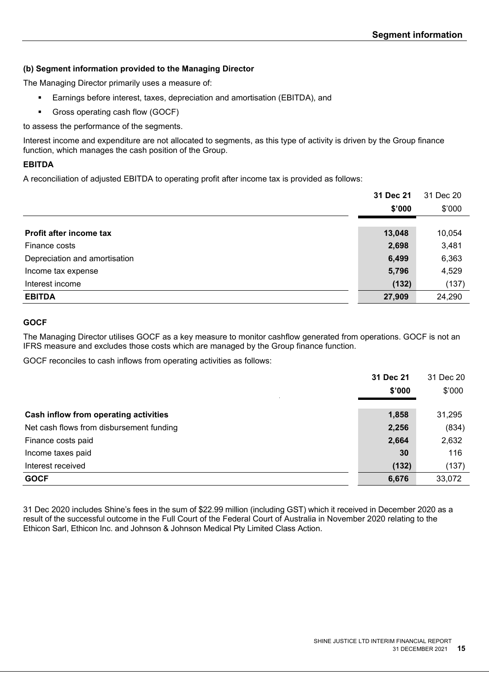# **(b) Segment information provided to the Managing Director**

The Managing Director primarily uses a measure of:

- Earnings before interest, taxes, depreciation and amortisation (EBITDA), and
- Gross operating cash flow (GOCF)

to assess the performance of the segments.

Interest income and expenditure are not allocated to segments, as this type of activity is driven by the Group finance function, which manages the cash position of the Group.

## **EBITDA**

A reconciliation of adjusted EBITDA to operating profit after income tax is provided as follows:

|                               | 31 Dec 21 | 31 Dec 20 |
|-------------------------------|-----------|-----------|
|                               | \$'000    | \$'000    |
| Profit after income tax       | 13,048    | 10,054    |
| Finance costs                 | 2,698     | 3,481     |
| Depreciation and amortisation | 6,499     | 6,363     |
| Income tax expense            | 5,796     | 4,529     |
| Interest income               | (132)     | (137)     |
| <b>EBITDA</b>                 | 27,909    | 24,290    |

#### **GOCF**

The Managing Director utilises GOCF as a key measure to monitor cashflow generated from operations. GOCF is not an IFRS measure and excludes those costs which are managed by the Group finance function.

GOCF reconciles to cash inflows from operating activities as follows:

|                                          | 31 Dec 21 | 31 Dec 20 |
|------------------------------------------|-----------|-----------|
|                                          | \$'000    | \$'000    |
| Cash inflow from operating activities    | 1,858     | 31,295    |
| Net cash flows from disbursement funding | 2,256     | (834)     |
| Finance costs paid                       | 2,664     | 2,632     |
| Income taxes paid                        | 30        | 116       |
| Interest received                        | (132)     | (137)     |
| <b>GOCF</b>                              | 6,676     | 33,072    |

31 Dec 2020 includes Shine's fees in the sum of \$22.99 million (including GST) which it received in December 2020 as a result of the successful outcome in the Full Court of the Federal Court of Australia in November 2020 relating to the Ethicon Sarl, Ethicon Inc. and Johnson & Johnson Medical Pty Limited Class Action.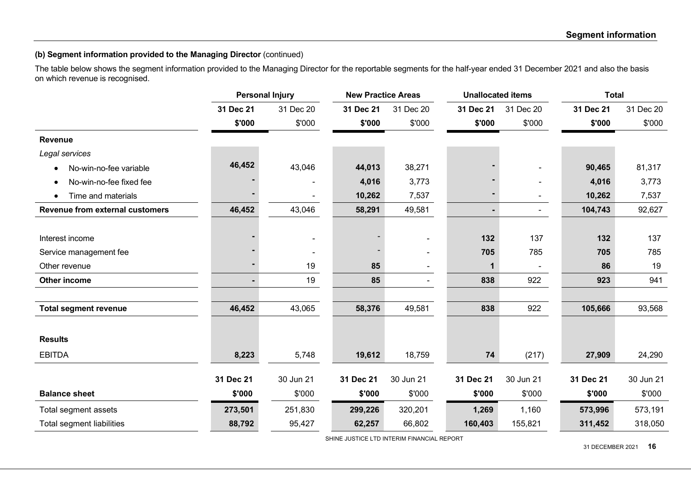# **(b) Segment information provided to the Managing Director** (continued)

The table below shows the segment information provided to the Managing Director for the reportable segments for the half-year ended 31 December 2021 and also the basis on which revenue is recognised.

|                                        |           | <b>Personal Injury</b> | <b>New Practice Areas</b> |           |                | <b>Unallocated items</b> |           | <b>Total</b> |  |
|----------------------------------------|-----------|------------------------|---------------------------|-----------|----------------|--------------------------|-----------|--------------|--|
|                                        | 31 Dec 21 | 31 Dec 20              | 31 Dec 21                 | 31 Dec 20 | 31 Dec 21      | 31 Dec 20                | 31 Dec 21 | 31 Dec 20    |  |
|                                        | \$'000    | \$'000                 | \$'000                    | \$'000    | \$'000         | \$'000                   | \$'000    | \$'000       |  |
| <b>Revenue</b>                         |           |                        |                           |           |                |                          |           |              |  |
| Legal services                         |           |                        |                           |           |                |                          |           |              |  |
| No-win-no-fee variable<br>$\bullet$    | 46,452    | 43,046                 | 44,013                    | 38,271    |                |                          | 90,465    | 81,317       |  |
| No-win-no-fee fixed fee<br>$\bullet$   |           |                        | 4,016                     | 3,773     |                |                          | 4,016     | 3,773        |  |
| Time and materials<br>$\bullet$        |           |                        | 10,262                    | 7,537     |                | ۰.                       | 10,262    | 7,537        |  |
| <b>Revenue from external customers</b> | 46,452    | 43,046                 | 58,291                    | 49,581    | $\blacksquare$ | ۰.                       | 104,743   | 92,627       |  |
|                                        |           |                        |                           |           |                |                          |           |              |  |
| Interest income                        |           | ۰                      |                           |           | 132            | 137                      | 132       | 137          |  |
| Service management fee                 |           |                        |                           |           | 705            | 785                      | 705       | 785          |  |
| Other revenue                          |           | 19                     | 85                        |           | 1              |                          | 86        | 19           |  |
| Other income                           |           | 19                     | 85                        |           | 838            | 922                      | 923       | 941          |  |
|                                        |           |                        |                           |           |                |                          |           |              |  |
| <b>Total segment revenue</b>           | 46,452    | 43,065                 | 58,376                    | 49,581    | 838            | 922                      | 105,666   | 93,568       |  |
|                                        |           |                        |                           |           |                |                          |           |              |  |
| <b>Results</b>                         |           |                        |                           |           |                |                          |           |              |  |
| <b>EBITDA</b>                          | 8,223     | 5,748                  | 19,612                    | 18,759    | 74             | (217)                    | 27,909    | 24,290       |  |
|                                        | 31 Dec 21 | 30 Jun 21              | 31 Dec 21                 | 30 Jun 21 | 31 Dec 21      | 30 Jun 21                | 31 Dec 21 | 30 Jun 21    |  |
| <b>Balance sheet</b>                   | \$'000    | \$'000                 | \$'000                    | \$'000    | \$'000         | \$'000                   | \$'000    | \$'000       |  |
| Total segment assets                   | 273,501   | 251,830                | 299,226                   | 320,201   | 1,269          | 1,160                    | 573,996   | 573,191      |  |
| <b>Total segment liabilities</b>       | 88,792    | 95,427                 | 62,257                    | 66,802    | 160,403        | 155,821                  | 311,452   | 318,050      |  |
|                                        |           |                        |                           |           |                |                          |           |              |  |

SHINE JUSTICE LTD INTERIM FINANCIAL REPORT

31 DECEMBER 2021 **16**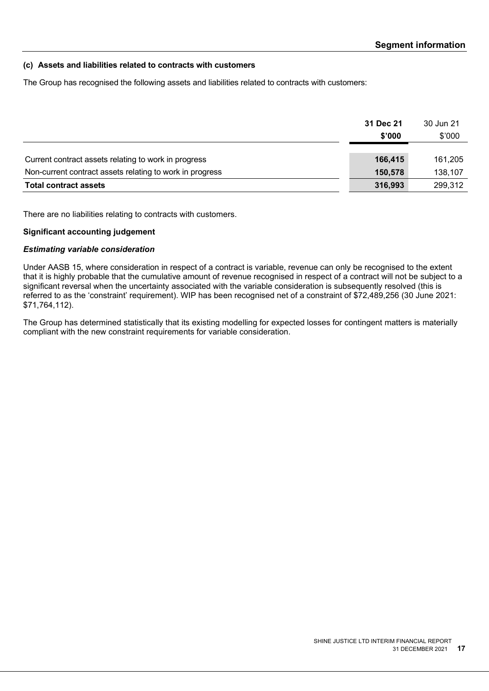#### **(c) Assets and liabilities related to contracts with customers**

The Group has recognised the following assets and liabilities related to contracts with customers:

|                                                          | 31 Dec 21 | 30 Jun 21 |
|----------------------------------------------------------|-----------|-----------|
|                                                          | \$'000    | \$'000    |
|                                                          |           |           |
| Current contract assets relating to work in progress     | 166,415   | 161,205   |
| Non-current contract assets relating to work in progress | 150,578   | 138,107   |
| <b>Total contract assets</b>                             | 316,993   | 299,312   |

There are no liabilities relating to contracts with customers.

#### **Significant accounting judgement**

#### *Estimating variable consideration*

Under AASB 15, where consideration in respect of a contract is variable, revenue can only be recognised to the extent that it is highly probable that the cumulative amount of revenue recognised in respect of a contract will not be subject to a significant reversal when the uncertainty associated with the variable consideration is subsequently resolved (this is referred to as the 'constraint' requirement). WIP has been recognised net of a constraint of \$72,489,256 (30 June 2021: \$71,764,112).

The Group has determined statistically that its existing modelling for expected losses for contingent matters is materially compliant with the new constraint requirements for variable consideration.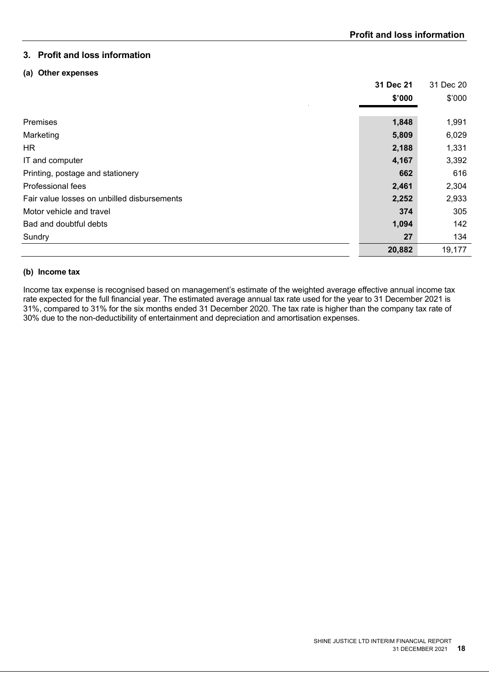# **3. Profit and loss information**

#### **(a) Other expenses**

|                                             | 31 Dec 21 | 31 Dec 20 |
|---------------------------------------------|-----------|-----------|
|                                             | \$'000    | \$'000    |
|                                             |           |           |
| Premises                                    | 1,848     | 1,991     |
| Marketing                                   | 5,809     | 6,029     |
| HR.                                         | 2,188     | 1,331     |
| IT and computer                             | 4,167     | 3,392     |
| Printing, postage and stationery            | 662       | 616       |
| Professional fees                           | 2,461     | 2,304     |
| Fair value losses on unbilled disbursements | 2,252     | 2,933     |
| Motor vehicle and travel                    | 374       | 305       |
| Bad and doubtful debts                      | 1,094     | 142       |
| Sundry                                      | 27        | 134       |
|                                             | 20,882    | 19,177    |

# **(b) Income tax**

Income tax expense is recognised based on management's estimate of the weighted average effective annual income tax rate expected for the full financial year. The estimated average annual tax rate used for the year to 31 December 2021 is 31%, compared to 31% for the six months ended 31 December 2020. The tax rate is higher than the company tax rate of 30% due to the non-deductibility of entertainment and depreciation and amortisation expenses.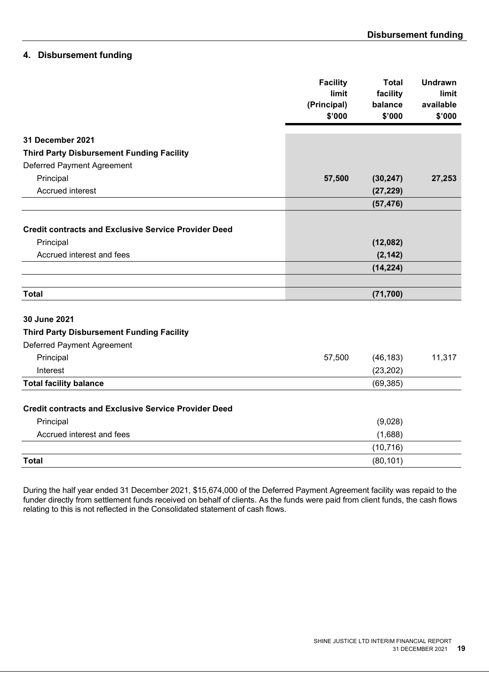# **4. Disbursement funding**

|                                                             | <b>Facility</b> | <b>Total</b> | <b>Undrawn</b> |
|-------------------------------------------------------------|-----------------|--------------|----------------|
|                                                             | limit           | facility     | limit          |
|                                                             | (Principal)     | balance      | available      |
|                                                             | \$'000          | \$'000       | \$'000         |
| 31 December 2021                                            |                 |              |                |
| <b>Third Party Disbursement Funding Facility</b>            |                 |              |                |
| <b>Deferred Payment Agreement</b>                           |                 |              |                |
| Principal                                                   | 57,500          | (30, 247)    | 27,253         |
| Accrued interest                                            |                 | (27, 229)    |                |
|                                                             |                 | (57, 476)    |                |
|                                                             |                 |              |                |
| <b>Credit contracts and Exclusive Service Provider Deed</b> |                 |              |                |
| Principal                                                   |                 | (12,082)     |                |
| Accrued interest and fees                                   |                 | (2, 142)     |                |
|                                                             |                 | (14, 224)    |                |
|                                                             |                 |              |                |
| <b>Total</b>                                                |                 | (71, 700)    |                |
|                                                             |                 |              |                |
| 30 June 2021                                                |                 |              |                |
| <b>Third Party Disbursement Funding Facility</b>            |                 |              |                |
| <b>Deferred Payment Agreement</b>                           |                 |              |                |
| Principal                                                   | 57,500          | (46, 183)    | 11,317         |
| Interest                                                    |                 | (23, 202)    |                |
| <b>Total facility balance</b>                               |                 | (69, 385)    |                |
|                                                             |                 |              |                |
| <b>Credit contracts and Exclusive Service Provider Deed</b> |                 |              |                |
| Principal                                                   |                 | (9,028)      |                |
| Accrued interest and fees                                   |                 | (1,688)      |                |
|                                                             |                 | (10, 716)    |                |
| <b>Total</b>                                                |                 | (80, 101)    |                |

During the half year ended 31 December 2021, \$15,674,000 of the Deferred Payment Agreement facility was repaid to the funder directly from settlement funds received on behalf of clients. As the funds were paid from client funds, the cash flows relating to this is not reflected in the Consolidated statement of cash flows.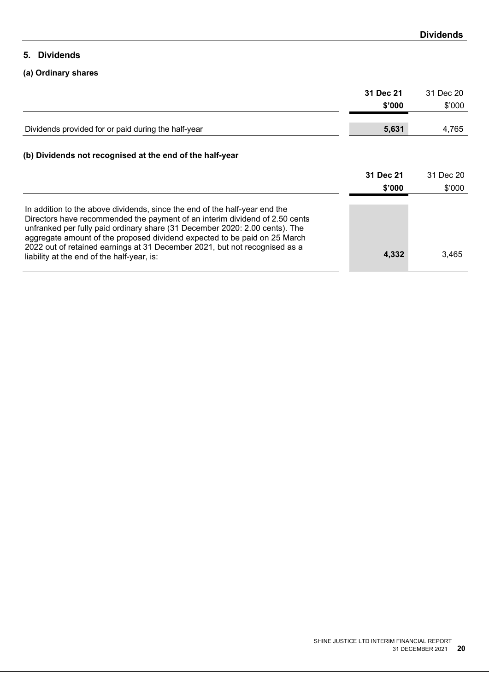# **5. Dividends**

# **(a) Ordinary shares**

|                                                                                                                                                                                                                                                                                                                                                                                                                                                   | 31 Dec 21 | 31 Dec 20 |
|---------------------------------------------------------------------------------------------------------------------------------------------------------------------------------------------------------------------------------------------------------------------------------------------------------------------------------------------------------------------------------------------------------------------------------------------------|-----------|-----------|
|                                                                                                                                                                                                                                                                                                                                                                                                                                                   | \$'000    | \$'000    |
|                                                                                                                                                                                                                                                                                                                                                                                                                                                   |           |           |
| Dividends provided for or paid during the half-year                                                                                                                                                                                                                                                                                                                                                                                               | 5,631     | 4,765     |
|                                                                                                                                                                                                                                                                                                                                                                                                                                                   |           |           |
| (b) Dividends not recognised at the end of the half-year                                                                                                                                                                                                                                                                                                                                                                                          |           |           |
|                                                                                                                                                                                                                                                                                                                                                                                                                                                   | 31 Dec 21 | 31 Dec 20 |
|                                                                                                                                                                                                                                                                                                                                                                                                                                                   | \$'000    | \$'000    |
| In addition to the above dividends, since the end of the half-year end the<br>Directors have recommended the payment of an interim dividend of 2.50 cents<br>unfranked per fully paid ordinary share (31 December 2020: 2.00 cents). The<br>aggregate amount of the proposed dividend expected to be paid on 25 March<br>2022 out of retained earnings at 31 December 2021, but not recognised as a<br>liability at the end of the half-year, is: | 4,332     | 3,465     |
|                                                                                                                                                                                                                                                                                                                                                                                                                                                   |           |           |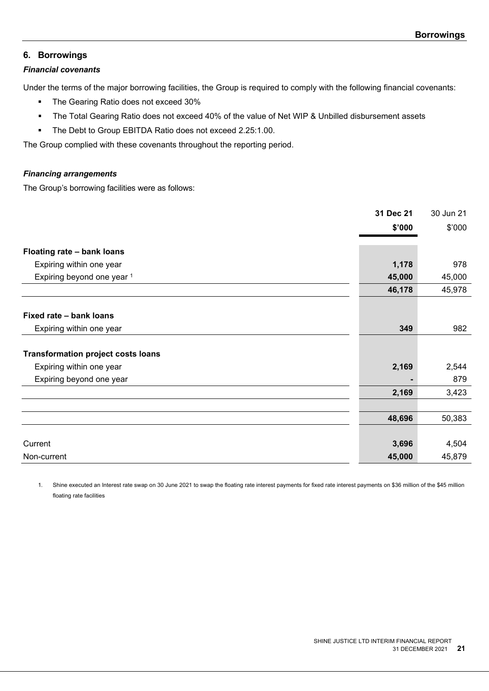#### **6. Borrowings**

# *Financial covenants*

Under the terms of the major borrowing facilities, the Group is required to comply with the following financial covenants:

- **The Gearing Ratio does not exceed 30%**
- The Total Gearing Ratio does not exceed 40% of the value of Net WIP & Unbilled disbursement assets
- The Debt to Group EBITDA Ratio does not exceed 2.25:1.00.

The Group complied with these covenants throughout the reporting period.

#### *Financing arrangements*

The Group's borrowing facilities were as follows:

|                                           | 31 Dec 21 | 30 Jun 21 |
|-------------------------------------------|-----------|-----------|
|                                           | \$'000    | \$'000    |
|                                           |           |           |
| Floating rate - bank loans                |           |           |
| Expiring within one year                  | 1,178     | 978       |
| Expiring beyond one year 1                | 45,000    | 45,000    |
|                                           | 46,178    | 45,978    |
|                                           |           |           |
| Fixed rate - bank loans                   |           |           |
| Expiring within one year                  | 349       | 982       |
|                                           |           |           |
| <b>Transformation project costs loans</b> |           |           |
| Expiring within one year                  | 2,169     | 2,544     |
| Expiring beyond one year                  |           | 879       |
|                                           | 2,169     | 3,423     |
|                                           |           |           |
|                                           | 48,696    | 50,383    |
|                                           |           |           |
| Current                                   | 3,696     | 4,504     |
| Non-current                               | 45,000    | 45,879    |

1. Shine executed an Interest rate swap on 30 June 2021 to swap the floating rate interest payments for fixed rate interest payments on \$36 million of the \$45 million floating rate facilities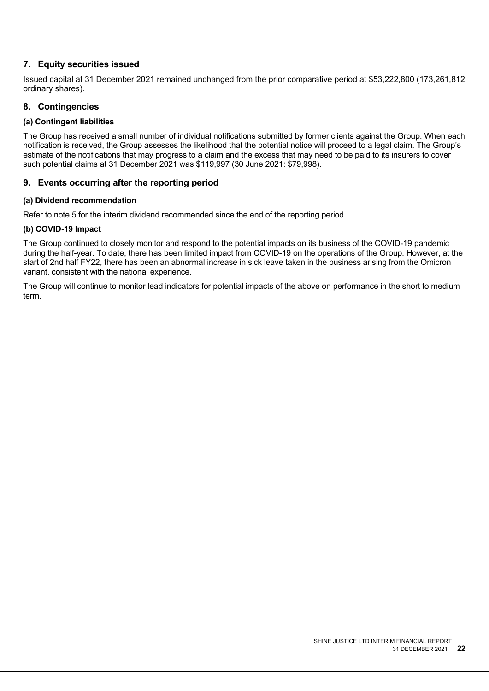# **7. Equity securities issued**

Issued capital at 31 December 2021 remained unchanged from the prior comparative period at \$53,222,800 (173,261,812 ordinary shares).

# **8. Contingencies**

# **(a) Contingent liabilities**

The Group has received a small number of individual notifications submitted by former clients against the Group. When each notification is received, the Group assesses the likelihood that the potential notice will proceed to a legal claim. The Group's estimate of the notifications that may progress to a claim and the excess that may need to be paid to its insurers to cover such potential claims at 31 December 2021 was \$119,997 (30 June 2021: \$79,998).

# **9. Events occurring after the reporting period**

#### **(a) Dividend recommendation**

Refer to note 5 for the interim dividend recommended since the end of the reporting period.

#### **(b) COVID-19 Impact**

The Group continued to closely monitor and respond to the potential impacts on its business of the COVID-19 pandemic during the half-year. To date, there has been limited impact from COVID-19 on the operations of the Group. However, at the start of 2nd half FY22, there has been an abnormal increase in sick leave taken in the business arising from the Omicron variant, consistent with the national experience.

The Group will continue to monitor lead indicators for potential impacts of the above on performance in the short to medium term.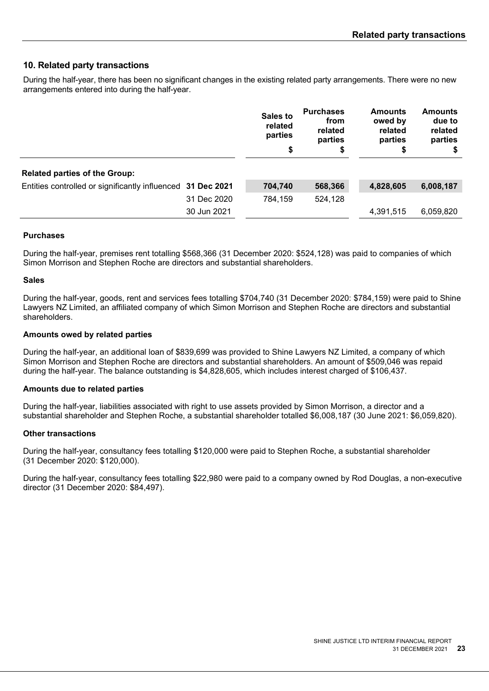# **10. Related party transactions**

During the half-year, there has been no significant changes in the existing related party arrangements. There were no new arrangements entered into during the half-year.

|                                                             |             | <b>Sales to</b><br>related<br>parties<br>\$ | <b>Purchases</b><br>from<br>related<br>parties<br>\$ | <b>Amounts</b><br>owed by<br>related<br>parties<br>\$ | <b>Amounts</b><br>due to<br>related<br>parties<br>S. |
|-------------------------------------------------------------|-------------|---------------------------------------------|------------------------------------------------------|-------------------------------------------------------|------------------------------------------------------|
| <b>Related parties of the Group:</b>                        |             |                                             |                                                      |                                                       |                                                      |
| Entities controlled or significantly influenced 31 Dec 2021 |             | 704,740                                     | 568,366                                              | 4,828,605                                             | 6,008,187                                            |
|                                                             | 31 Dec 2020 | 784.159                                     | 524,128                                              |                                                       |                                                      |
|                                                             | 30 Jun 2021 |                                             |                                                      | 4,391,515                                             | 6,059,820                                            |
|                                                             |             |                                             |                                                      |                                                       |                                                      |

#### **Purchases**

During the half-year, premises rent totalling \$568,366 (31 December 2020: \$524,128) was paid to companies of which Simon Morrison and Stephen Roche are directors and substantial shareholders.

#### **Sales**

During the half-year, goods, rent and services fees totalling \$704,740 (31 December 2020: \$784,159) were paid to Shine Lawyers NZ Limited, an affiliated company of which Simon Morrison and Stephen Roche are directors and substantial shareholders.

#### **Amounts owed by related parties**

During the half-year, an additional loan of \$839,699 was provided to Shine Lawyers NZ Limited, a company of which Simon Morrison and Stephen Roche are directors and substantial shareholders. An amount of \$509,046 was repaid during the half-year. The balance outstanding is \$4,828,605, which includes interest charged of \$106,437.

#### **Amounts due to related parties**

During the half-year, liabilities associated with right to use assets provided by Simon Morrison, a director and a substantial shareholder and Stephen Roche, a substantial shareholder totalled \$6,008,187 (30 June 2021: \$6,059,820).

#### **Other transactions**

During the half-year, consultancy fees totalling \$120,000 were paid to Stephen Roche, a substantial shareholder (31 December 2020: \$120,000).

During the half-year, consultancy fees totalling \$22,980 were paid to a company owned by Rod Douglas, a non-executive director (31 December 2020: \$84,497).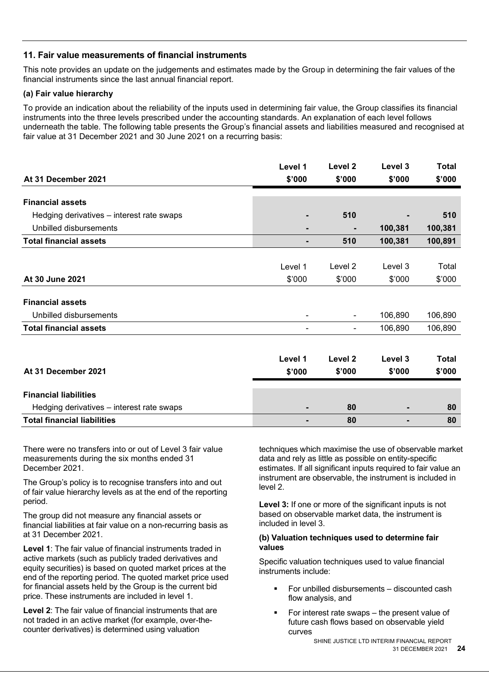# **11. Fair value measurements of financial instruments**

This note provides an update on the judgements and estimates made by the Group in determining the fair values of the financial instruments since the last annual financial report.

#### **(a) Fair value hierarchy**

To provide an indication about the reliability of the inputs used in determining fair value, the Group classifies its financial instruments into the three levels prescribed under the accounting standards. An explanation of each level follows underneath the table. The following table presents the Group's financial assets and liabilities measured and recognised at fair value at 31 December 2021 and 30 June 2021 on a recurring basis:

| At 31 December 2021                       | Level 1<br>\$'000 | Level 2<br>\$'000 | Level 3<br>\$'000 | <b>Total</b><br>\$'000 |
|-------------------------------------------|-------------------|-------------------|-------------------|------------------------|
| <b>Financial assets</b>                   |                   |                   |                   |                        |
| Hedging derivatives – interest rate swaps | ٠                 | 510               |                   | 510                    |
| Unbilled disbursements                    | $\blacksquare$    |                   | 100,381           | 100,381                |
| <b>Total financial assets</b>             | ٠                 | 510               | 100,381           | 100,891                |
|                                           |                   |                   |                   |                        |
|                                           | Level 1           | Level 2           | Level 3           | Total                  |
| At 30 June 2021                           | \$'000            | \$'000            | \$'000            | \$'000                 |
| <b>Financial assets</b>                   |                   |                   |                   |                        |
| Unbilled disbursements                    | $\blacksquare$    | $\blacksquare$    | 106,890           | 106,890                |
| <b>Total financial assets</b>             | ۰                 | $\blacksquare$    | 106,890           | 106,890                |
|                                           | Level 1           | Level 2           | Level 3           | <b>Total</b>           |
| At 31 December 2021                       | \$'000            | \$'000            | \$'000            | \$'000                 |
| Einanaial liahilitiaa                     |                   |                   |                   |                        |

| <b>Financial liabilities</b>              |                          |   |  |
|-------------------------------------------|--------------------------|---|--|
| Hedging derivatives – interest rate swaps | $\overline{\phantom{0}}$ | - |  |
| <b>Total financial liabilities</b>        |                          |   |  |
|                                           |                          |   |  |

There were no transfers into or out of Level 3 fair value measurements during the six months ended 31 December 2021.

The Group's policy is to recognise transfers into and out of fair value hierarchy levels as at the end of the reporting period.

The group did not measure any financial assets or financial liabilities at fair value on a non-recurring basis as at 31 December 2021.

**Level 1**: The fair value of financial instruments traded in active markets (such as publicly traded derivatives and equity securities) is based on quoted market prices at the end of the reporting period. The quoted market price used for financial assets held by the Group is the current bid price. These instruments are included in level 1.

**Level 2**: The fair value of financial instruments that are not traded in an active market (for example, over-thecounter derivatives) is determined using valuation

techniques which maximise the use of observable market data and rely as little as possible on entity-specific estimates. If all significant inputs required to fair value an instrument are observable, the instrument is included in level 2.

**Level 3:** If one or more of the significant inputs is not based on observable market data, the instrument is included in level 3.

#### **(b) Valuation techniques used to determine fair values**

Specific valuation techniques used to value financial instruments include:

- For unbilled disbursements discounted cash flow analysis, and
- For interest rate swaps the present value of future cash flows based on observable yield curves

 SHINE JUSTICE LTD INTERIM FINANCIAL REPORT 31 DECEMBER 2021 **24**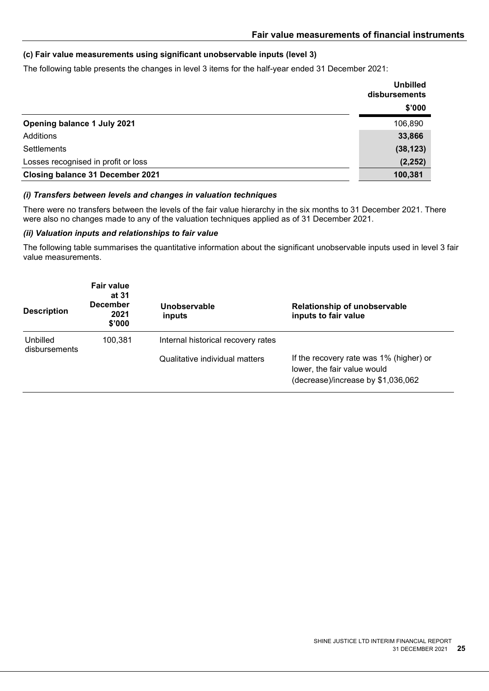# **(c) Fair value measurements using significant unobservable inputs (level 3)**

The following table presents the changes in level 3 items for the half-year ended 31 December 2021:

|                                         | <b>Unbilled</b><br>disbursements |
|-----------------------------------------|----------------------------------|
|                                         | \$'000                           |
| Opening balance 1 July 2021             | 106,890                          |
| Additions                               | 33,866                           |
| Settlements                             | (38, 123)                        |
| Losses recognised in profit or loss     | (2, 252)                         |
| <b>Closing balance 31 December 2021</b> | 100,381                          |

#### *(i) Transfers between levels and changes in valuation techniques*

There were no transfers between the levels of the fair value hierarchy in the six months to 31 December 2021. There were also no changes made to any of the valuation techniques applied as of 31 December 2021.

#### *(ii) Valuation inputs and relationships to fair value*

The following table summarises the quantitative information about the significant unobservable inputs used in level 3 fair value measurements.

| <b>Description</b>        | <b>Fair value</b><br>at 31<br><b>December</b><br>2021<br>\$'000 | Unobservable<br>inputs             | Relationship of unobservable<br>inputs to fair value                                                         |
|---------------------------|-----------------------------------------------------------------|------------------------------------|--------------------------------------------------------------------------------------------------------------|
| Unbilled<br>disbursements | 100.381                                                         | Internal historical recovery rates |                                                                                                              |
|                           |                                                                 | Qualitative individual matters     | If the recovery rate was 1% (higher) or<br>lower, the fair value would<br>(decrease)/increase by \$1,036,062 |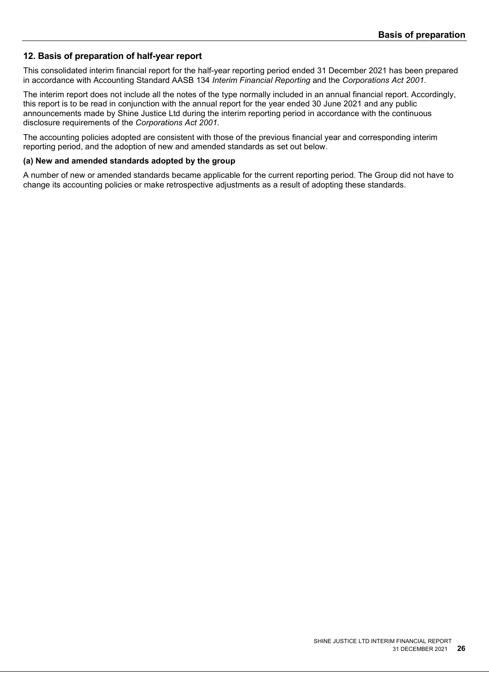# **12. Basis of preparation of half-year report**

This consolidated interim financial report for the half-year reporting period ended 31 December 2021 has been prepared in accordance with Accounting Standard AASB 134 *Interim Financial Reporting* and the *Corporations Act 2001*.

The interim report does not include all the notes of the type normally included in an annual financial report. Accordingly, this report is to be read in conjunction with the annual report for the year ended 30 June 2021 and any public announcements made by Shine Justice Ltd during the interim reporting period in accordance with the continuous disclosure requirements of the *Corporations Act 2001*.

The accounting policies adopted are consistent with those of the previous financial year and corresponding interim reporting period, and the adoption of new and amended standards as set out below.

#### **(a) New and amended standards adopted by the group**

A number of new or amended standards became applicable for the current reporting period. The Group did not have to change its accounting policies or make retrospective adjustments as a result of adopting these standards.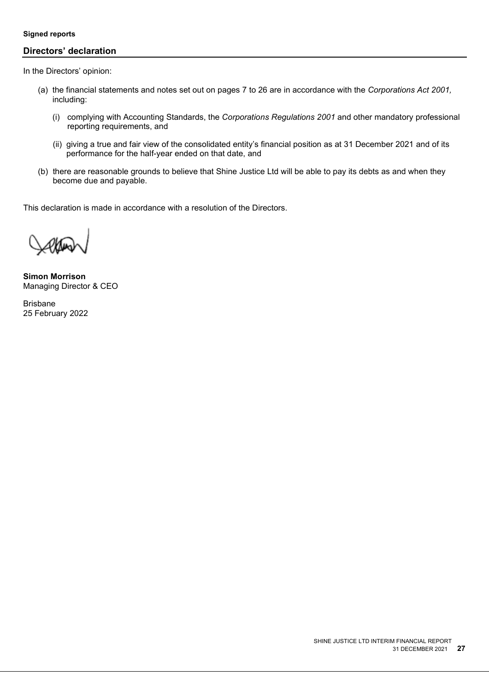#### **Signed reports**

# **Directors' declaration**

In the Directors' opinion:

- (a) the financial statements and notes set out on pages 7 to 26 are in accordance with the *Corporations Act 2001,*  including:
	- (i) complying with Accounting Standards, the *Corporations Regulations 2001* and other mandatory professional reporting requirements, and
	- (ii) giving a true and fair view of the consolidated entity's financial position as at 31 December 2021 and of its performance for the half-year ended on that date, and
- (b) there are reasonable grounds to believe that Shine Justice Ltd will be able to pay its debts as and when they become due and payable.

This declaration is made in accordance with a resolution of the Directors.

**Simon Morrison** Managing Director & CEO

Brisbane 25 February 2022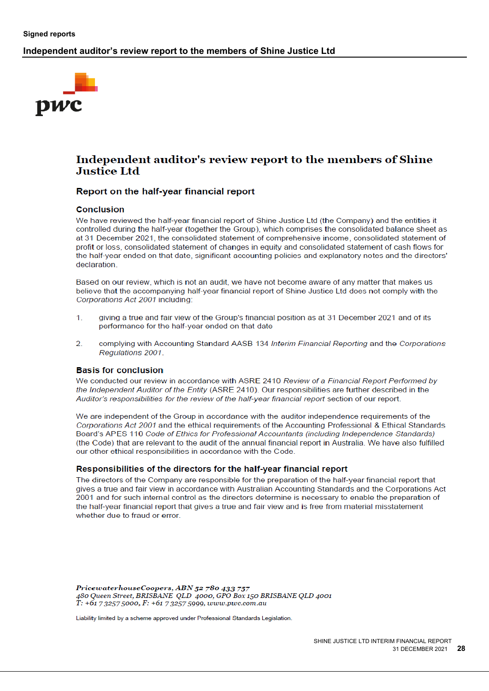# **Independent auditor's review report to the members of Shine Justice Ltd**



# Independent auditor's review report to the members of Shine **Justice Ltd**

# Report on the half-year financial report

#### **Conclusion**

We have reviewed the half-year financial report of Shine Justice Ltd (the Company) and the entities it controlled during the half-year (together the Group), which comprises the consolidated balance sheet as at 31 December 2021, the consolidated statement of comprehensive income, consolidated statement of profit or loss, consolidated statement of changes in equity and consolidated statement of cash flows for the half-year ended on that date, significant accounting policies and explanatory notes and the directors' declaration.

Based on our review, which is not an audit, we have not become aware of any matter that makes us believe that the accompanying half-year financial report of Shine Justice Ltd does not comply with the Corporations Act 2001 including:

- $1.$ giving a true and fair view of the Group's financial position as at 31 December 2021 and of its performance for the half-year ended on that date
- $\mathcal{D}$ complying with Accounting Standard AASB 134 Interim Financial Reporting and the Corporations Regulations 2001.

#### **Basis for conclusion**

We conducted our review in accordance with ASRE 2410 Review of a Financial Report Performed by the Independent Auditor of the Entity (ASRE 2410). Our responsibilities are further described in the Auditor's responsibilities for the review of the half-year financial report section of our report.

We are independent of the Group in accordance with the auditor independence requirements of the Corporations Act 2001 and the ethical requirements of the Accounting Professional & Ethical Standards Board's APES 110 Code of Ethics for Professional Accountants (including Independence Standards) (the Code) that are relevant to the audit of the annual financial report in Australia. We have also fulfilled our other ethical responsibilities in accordance with the Code.

#### Responsibilities of the directors for the half-year financial report

The directors of the Company are responsible for the preparation of the half-year financial report that gives a true and fair view in accordance with Australian Accounting Standards and the Corporations Act 2001 and for such internal control as the directors determine is necessary to enable the preparation of the half-year financial report that gives a true and fair view and is free from material misstatement whether due to fraud or error.

PricewaterhouseCoopers, ABN 52 780 433 757 480 Queen Street, BRISBANE QLD 4000, GPO Box 150 BRISBANE QLD 4001  $T: +61$  7 3257 5000, F:  $+61$  7 3257 5999, www.pwc.com.au

Liability limited by a scheme approved under Professional Standards Legislation.